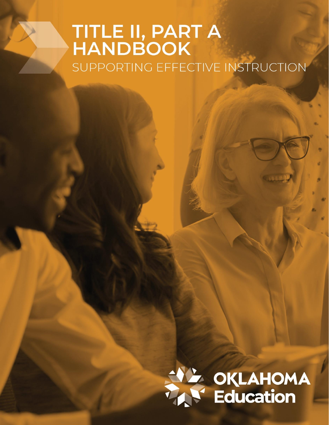# **TITLE II, PART A<br>HANDBOOK** SUPPORTING EFFECTIVE INSTRUCTION

# SAL OKLAHOMA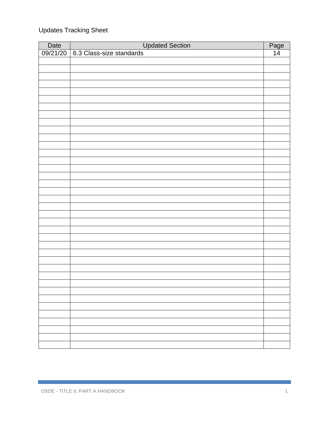## Updates Tracking Sheet

| Date | <b>Updated Section</b>            | Page            |
|------|-----------------------------------|-----------------|
|      | 09/21/20 6.3 Class-size standards | $\overline{14}$ |
|      |                                   |                 |
|      |                                   |                 |
|      |                                   |                 |
|      |                                   |                 |
|      |                                   |                 |
|      |                                   |                 |
|      |                                   |                 |
|      |                                   |                 |
|      |                                   |                 |
|      |                                   |                 |
|      |                                   |                 |
|      |                                   |                 |
|      |                                   |                 |
|      |                                   |                 |
|      |                                   |                 |
|      |                                   |                 |
|      |                                   |                 |
|      |                                   |                 |
|      |                                   |                 |
|      |                                   |                 |
|      |                                   |                 |
|      |                                   |                 |
|      |                                   |                 |
|      |                                   |                 |
|      |                                   |                 |
|      |                                   |                 |
|      |                                   |                 |
|      |                                   |                 |
|      |                                   |                 |
|      |                                   |                 |
|      |                                   |                 |
|      |                                   |                 |
|      |                                   |                 |
|      |                                   |                 |
|      |                                   |                 |
|      |                                   |                 |
|      |                                   |                 |
|      |                                   |                 |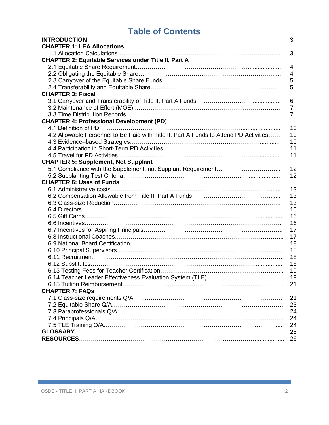# **Table of Contents**

| <b>INTRODUCTION</b>                                                                    | 3              |
|----------------------------------------------------------------------------------------|----------------|
| <b>CHAPTER 1: LEA Allocations</b>                                                      |                |
| 1.1 Allocation Calculations                                                            | 3              |
| <b>CHAPTER 2: Equitable Services under Title II, Part A</b>                            |                |
|                                                                                        | 4              |
|                                                                                        | 4              |
|                                                                                        | 5              |
|                                                                                        | 5              |
| <b>CHAPTER 3: Fiscal</b>                                                               |                |
|                                                                                        | 6              |
|                                                                                        | $\overline{7}$ |
|                                                                                        | $\overline{7}$ |
| <b>CHAPTER 4: Professional Development (PD)</b>                                        |                |
|                                                                                        | 10             |
| 4.2 Allowable Personnel to Be Paid with Title II, Part A Funds to Attend PD Activities | 10             |
|                                                                                        | 10             |
|                                                                                        | 11             |
|                                                                                        | 11             |
| <b>CHAPTER 5: Supplement, Not Supplant</b>                                             |                |
| 5.1 Compliance with the Supplement, not Supplant Requirement                           | 12             |
|                                                                                        | 12             |
| <b>CHAPTER 6: Uses of Funds</b>                                                        |                |
|                                                                                        | 13             |
|                                                                                        | 13             |
|                                                                                        | 13             |
|                                                                                        | 16             |
|                                                                                        | 16             |
|                                                                                        | 16             |
|                                                                                        | 17             |
|                                                                                        | 17             |
|                                                                                        | 18             |
|                                                                                        | 18             |
|                                                                                        | 18             |
|                                                                                        | 18             |
|                                                                                        | 19             |
|                                                                                        | 19             |
|                                                                                        |                |
| <b>CHAPTER 7: FAQS</b>                                                                 |                |
|                                                                                        | 21             |
|                                                                                        | 23             |
|                                                                                        | 24             |
|                                                                                        | 24             |
|                                                                                        | 24             |
|                                                                                        | 25             |
|                                                                                        | 26             |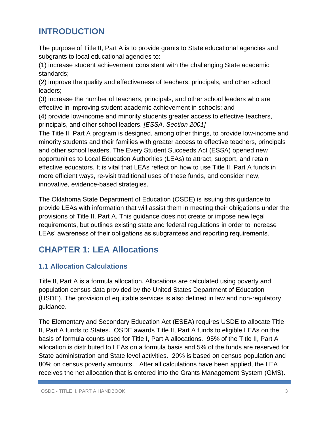# **INTRODUCTION**

The purpose of Title II, Part A is to provide grants to State educational agencies and subgrants to local educational agencies to:

(1) increase student achievement consistent with the challenging State academic standards;

(2) improve the quality and effectiveness of teachers, principals, and other school leaders;

(3) increase the number of teachers, principals, and other school leaders who are effective in improving student academic achievement in schools; and

(4) provide low-income and minority students greater access to effective teachers, principals, and other school leaders. *[ESSA, Section 2001]* 

The Title II, Part A program is designed, among other things, to provide low-income and minority students and their families with greater access to effective teachers, principals and other school leaders. The Every Student Succeeds Act (ESSA) opened new opportunities to Local Education Authorities (LEAs) to attract, support, and retain effective educators. It is vital that LEAs reflect on how to use Title II, Part A funds in more efficient ways, re-visit traditional uses of these funds, and consider new, innovative, evidence-based strategies.

The Oklahoma State Department of Education (OSDE) is issuing this guidance to provide LEAs with information that will assist them in meeting their obligations under the provisions of Title II, Part A. This guidance does not create or impose new legal requirements, but outlines existing state and federal regulations in order to increase LEAs' awareness of their obligations as subgrantees and reporting requirements.

# **CHAPTER 1: LEA Allocations**

#### **1.1 Allocation Calculations**

Title II, Part A is a formula allocation. Allocations are calculated using poverty and population census data provided by the United States Department of Education (USDE). The provision of equitable services is also defined in law and non-regulatory guidance.

The Elementary and Secondary Education Act (ESEA) requires USDE to allocate Title II, Part A funds to States. OSDE awards Title II, Part A funds to eligible LEAs on the basis of formula counts used for Title I, Part A allocations. 95% of the Title II, Part A allocation is distributed to LEAs on a formula basis and 5% of the funds are reserved for State administration and State level activities. 20% is based on census population and 80% on census poverty amounts. After all calculations have been applied, the LEA receives the net allocation that is entered into the Grants Management System (GMS).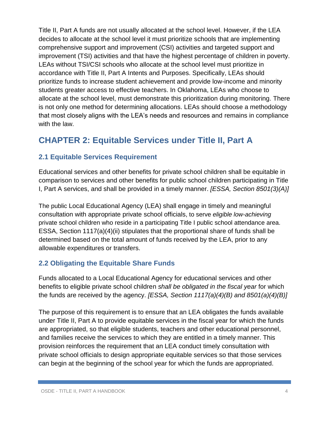Title II, Part A funds are not usually allocated at the school level. However, if the LEA decides to allocate at the school level it must prioritize schools that are implementing comprehensive support and improvement (CSI) activities and targeted support and improvement (TSI) activities and that have the highest percentage of children in poverty. LEAs without TSI/CSI schools who allocate at the school level must prioritize in accordance with Title II, Part A Intents and Purposes. Specifically, LEAs should prioritize funds to increase student achievement and provide low-income and minority students greater access to effective teachers. In Oklahoma, LEAs who choose to allocate at the school level, must demonstrate this prioritization during monitoring. There is not only one method for determining allocations. LEAs should choose a methodology that most closely aligns with the LEA's needs and resources and remains in compliance with the law.

# **CHAPTER 2: Equitable Services under Title II, Part A**

#### **2.1 Equitable Services Requirement**

Educational services and other benefits for private school children shall be equitable in comparison to services and other benefits for public school children participating in Title I, Part A services, and shall be provided in a timely manner. *[ESSA, Section 8501(3)(A)]*

The public Local Educational Agency (LEA) shall engage in timely and meaningful consultation with appropriate private school officials, to serve *eligible low-achieving* private school children who reside in a participating Title I public school attendance area. ESSA, Section 1117(a)(4)(ii) stipulates that the proportional share of funds shall be determined based on the total amount of funds received by the LEA, prior to any allowable expenditures or transfers.

#### **2.2 Obligating the Equitable Share Funds**

Funds allocated to a Local Educational Agency for educational services and other benefits to eligible private school children *shall be obligated in the fiscal year* for which the funds are received by the agency. *[ESSA, Section 1117(a)(4)(B) and 8501(a)(4)(B)]*

The purpose of this requirement is to ensure that an LEA obligates the funds available under Title II, Part A to provide equitable services in the fiscal year for which the funds are appropriated, so that eligible students, teachers and other educational personnel, and families receive the services to which they are entitled in a timely manner. This provision reinforces the requirement that an LEA conduct timely consultation with private school officials to design appropriate equitable services so that those services can begin at the beginning of the school year for which the funds are appropriated.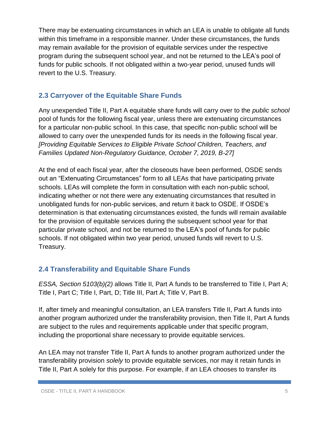There may be extenuating circumstances in which an LEA is unable to obligate all funds within this timeframe in a responsible manner. Under these circumstances, the funds may remain available for the provision of equitable services under the respective program during the subsequent school year, and not be returned to the LEA's pool of funds for public schools. If not obligated within a two-year period, unused funds will revert to the U.S. Treasury.

#### **2.3 Carryover of the Equitable Share Funds**

Any unexpended Title II, Part A equitable share funds will carry over to the *public school* pool of funds for the following fiscal year, unless there are extenuating circumstances for a particular non-public school. In this case, that specific non-public school will be allowed to carry over the unexpended funds for its needs in the following fiscal year. *[Providing Equitable Services to Eligible Private School Children, Teachers, and Families Updated Non-Regulatory Guidance, October 7, 2019, B-27]*

At the end of each fiscal year, after the closeouts have been performed, OSDE sends out an "Extenuating Circumstances" form to all LEAs that have participating private schools. LEAs will complete the form in consultation with each non-public school, indicating whether or not there were any extenuating circumstances that resulted in unobligated funds for non-public services, and return it back to OSDE. If OSDE's determination is that extenuating circumstances existed, the funds will remain available for the provision of equitable services during the subsequent school year for that particular private school, and not be returned to the LEA's pool of funds for public schools. If not obligated within two year period, unused funds will revert to U.S. Treasury.

#### **2.4 Transferability and Equitable Share Funds**

*ESSA, Section 5103(b)(2)* allows Title II, Part A funds to be transferred to Title I, Part A; Title I, Part C; Title I, Part, D; Title III, Part A; Title V, Part B.

If, after timely and meaningful consultation, an LEA transfers Title II, Part A funds into another program authorized under the transferability provision, then Title II, Part A funds are subject to the rules and requirements applicable under that specific program, including the proportional share necessary to provide equitable services.

An LEA may not transfer Title II, Part A funds to another program authorized under the transferability provision *solely* to provide equitable services, nor may it retain funds in Title II, Part A solely for this purpose. For example, if an LEA chooses to transfer its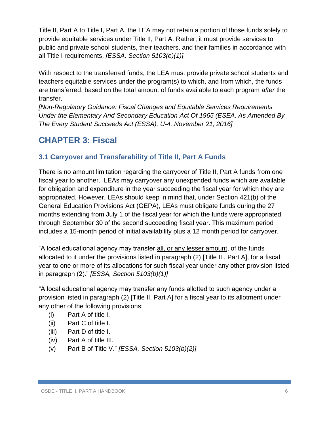Title II, Part A to Title I, Part A, the LEA may not retain a portion of those funds solely to provide equitable services under Title II, Part A. Rather, it must provide services to public and private school students, their teachers, and their families in accordance with all Title I requirements. *[ESSA, Section 5103(e)(1)]*

With respect to the transferred funds, the LEA must provide private school students and teachers equitable services under the program(s) to which, and from which, the funds are transferred, based on the total amount of funds available to each program *after* the transfer.

*[Non-Regulatory Guidance: Fiscal Changes and Equitable Services Requirements Under the Elementary And Secondary Education Act Of 1965 (ESEA, As Amended By The Every Student Succeeds Act (ESSA), U-4, November 21, 2016]*

# **CHAPTER 3: Fiscal**

#### **3.1 Carryover and Transferability of Title II, Part A Funds**

There is no amount limitation regarding the carryover of Title II, Part A funds from one fiscal year to another. LEAs may carryover any unexpended funds which are available for obligation and expenditure in the year succeeding the fiscal year for which they are appropriated. However, LEAs should keep in mind that, under Section 421(b) of the General Education Provisions Act (GEPA), LEAs must obligate funds during the 27 months extending from July 1 of the fiscal year for which the funds were appropriated through September 30 of the second succeeding fiscal year. This maximum period includes a 15-month period of initial availability plus a 12 month period for carryover.

"A local educational agency may transfer all, or any lesser amount, of the funds allocated to it under the provisions listed in paragraph (2) [Title II , Part A], for a fiscal year to one or more of its allocations for such fiscal year under any other provision listed in paragraph (2)." *[ESSA, Section 5103(b)(1)]*

"A local educational agency may transfer any funds allotted to such agency under a provision listed in paragraph (2) [Title II, Part A] for a fiscal year to its allotment under any other of the following provisions:

- (i) Part A of title I.
- (ii) Part C of title I.
- (iii) Part D of title I.
- (iv) Part A of title III.
- (v) Part B of Title V." *[ESSA, Section 5103(b)(2)]*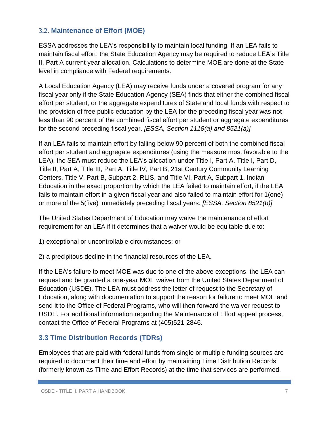#### **3.2. Maintenance of Effort (MOE)**

ESSA addresses the LEA's responsibility to maintain local funding. If an LEA fails to maintain fiscal effort, the State Education Agency may be required to reduce LEA's Title II, Part A current year allocation. Calculations to determine MOE are done at the State level in compliance with Federal requirements.

A Local Education Agency (LEA) may receive funds under a covered program for any fiscal year only if the State Education Agency (SEA) finds that either the combined fiscal effort per student, or the aggregate expenditures of State and local funds with respect to the provision of free public education by the LEA for the preceding fiscal year was not less than 90 percent of the combined fiscal effort per student or aggregate expenditures for the second preceding fiscal year. *[ESSA, Section 1118(a) and 8521(a)]*

If an LEA fails to maintain effort by falling below 90 percent of both the combined fiscal effort per student and aggregate expenditures (using the measure most favorable to the LEA), the SEA must reduce the LEA's allocation under Title I, Part A, Title I, Part D, Title II, Part A, Title III, Part A, Title IV, Part B, 21st Century Community Learning Centers, Title V, Part B, Subpart 2, RLIS, and Title VI, Part A, Subpart 1, Indian Education in the exact proportion by which the LEA failed to maintain effort, if the LEA fails to maintain effort in a given fiscal year and also failed to maintain effort for 1(one) or more of the 5(five) immediately preceding fiscal years. *[ESSA, Section 8521(b)]*

The United States Department of Education may waive the maintenance of effort requirement for an LEA if it determines that a waiver would be equitable due to:

1) exceptional or uncontrollable circumstances; or

2) a precipitous decline in the financial resources of the LEA.

If the LEA's failure to meet MOE was due to one of the above exceptions, the LEA can request and be granted a one-year MOE waiver from the United States Department of Education (USDE). The LEA must address the letter of request to the Secretary of Education, along with documentation to support the reason for failure to meet MOE and send it to the Office of Federal Programs, who will then forward the waiver request to USDE. For additional information regarding the Maintenance of Effort appeal process, contact the Office of Federal Programs at (405)521-2846.

#### **3.3 Time Distribution Records (TDRs)**

Employees that are paid with federal funds from single or multiple funding sources are required to document their time and effort by maintaining Time Distribution Records (formerly known as Time and Effort Records) at the time that services are performed.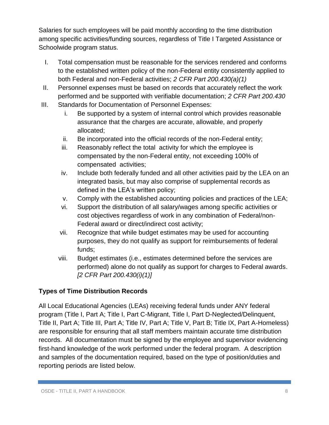Salaries for such employees will be paid monthly according to the time distribution among specific activities/funding sources, regardless of Title I Targeted Assistance or Schoolwide program status.

- I. Total compensation must be reasonable for the services rendered and conforms to the established written policy of the non-Federal entity consistently applied to both Federal and non-Federal activities; *2 CFR Part 200.430(a)(1)*
- II. Personnel expenses must be based on records that accurately reflect the work performed and be supported with verifiable documentation; *2 CFR Part 200.430*
- III. Standards for Documentation of Personnel Expenses:
	- i. Be supported by a system of internal control which provides reasonable assurance that the charges are accurate, allowable, and properly allocated;
	- ii. Be incorporated into the official records of the non-Federal entity;
	- iii. Reasonably reflect the total activity for which the employee is compensated by the non-Federal entity, not exceeding 100% of compensated activities;
	- iv. Include both federally funded and all other activities paid by the LEA on an integrated basis, but may also comprise of supplemental records as defined in the LEA's written policy;
	- v. Comply with the established accounting policies and practices of the LEA;
	- vi. Support the distribution of all salary/wages among specific activities or cost objectives regardless of work in any combination of Federal/non-Federal award or direct/indirect cost activity;
	- vii. Recognize that while budget estimates may be used for accounting purposes, they do not qualify as support for reimbursements of federal funds;
	- viii. Budget estimates (i.e., estimates determined before the services are performed) alone do not qualify as support for charges to Federal awards. *[2 CFR Part 200.430(i)(1)]*

#### **Types of Time Distribution Records**

All Local Educational Agencies (LEAs) receiving federal funds under ANY federal program (Title I, Part A; Title I, Part C-Migrant, Title I, Part D-Neglected/Delinquent, Title II, Part A; Title III, Part A; Title IV, Part A; Title V, Part B; Title IX, Part A-Homeless) are responsible for ensuring that all staff members maintain accurate time distribution records. All documentation must be signed by the employee and supervisor evidencing first-hand knowledge of the work performed under the federal program. A description and samples of the documentation required, based on the type of position/duties and reporting periods are listed below.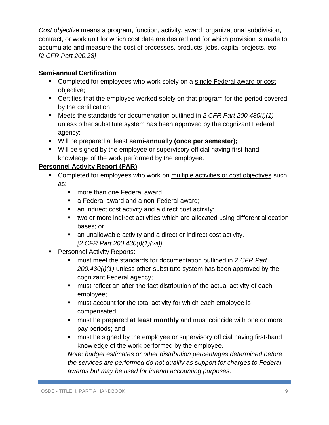*Cost objective* means a program, function, activity, award, organizational subdivision, contract, or work unit for which cost data are desired and for which provision is made to accumulate and measure the cost of processes, products, jobs, capital projects, etc. *[2 CFR Part 200.28]*

#### **Semi-annual Certification**

- **Completed for employees who work solely on a single Federal award or cost** objective;
- Certifies that the employee worked solely on that program for the period covered by the certification;
- Meets the standards for documentation outlined in 2 CFR Part 200.430(i)(1) unless other substitute system has been approved by the cognizant Federal agency;
- Will be prepared at least **semi-annually (once per semester);**
- Will be signed by the employee or supervisory official having first-hand knowledge of the work performed by the employee.

#### **Personnel Activity Report (PAR)**

- **Completed for employees who work on multiple activities or cost objectives such** as:
	- more than one Federal award;
	- a Federal award and a non-Federal award;
	- an indirect cost activity and a direct cost activity;
	- two or more indirect activities which are allocated using different allocation bases; or
	- an unallowable activity and a direct or indirect cost activity. *[2 CFR Part 200.430(i)(1)(vii)]*
- **Personnel Activity Reports:** 
	- must meet the standards for documentation outlined in *2 CFR Part 200.430(i)(1)* unless other substitute system has been approved by the cognizant Federal agency;
	- **nust reflect an after-the-fact distribution of the actual activity of each** employee;
	- **namust account for the total activity for which each employee is** compensated;
	- must be prepared **at least monthly** and must coincide with one or more pay periods; and
	- **nust be signed by the employee or supervisory official having first-hand** knowledge of the work performed by the employee.

*Note: budget estimates or other distribution percentages determined before the services are performed do not qualify as support for charges to Federal awards but may be used for interim accounting purposes.*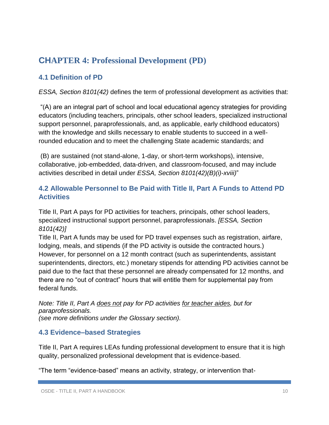# **CHAPTER 4: Professional Development (PD)**

#### **4.1 Definition of PD**

*ESSA, Section 8101(42)* defines the term of professional development as activities that:

"(A) are an integral part of school and local educational agency strategies for providing educators (including teachers, principals, other school leaders, specialized instructional support personnel, paraprofessionals, and, as applicable, early childhood educators) with the knowledge and skills necessary to enable students to succeed in a wellrounded education and to meet the challenging State academic standards; and

(B) are sustained (not stand-alone, 1-day, or short-term workshops), intensive, collaborative, job-embedded, data-driven, and classroom-focused, and may include activities described in detail under *ESSA, Section 8101(42)(B)(i)-xviii)*"

#### **4.2 Allowable Personnel to Be Paid with Title II, Part A Funds to Attend PD Activities**

Title II, Part A pays for PD activities for teachers, principals, other school leaders, specialized instructional support personnel, paraprofessionals. *[ESSA, Section 8101(42)]*

Title II, Part A funds may be used for PD travel expenses such as registration, airfare, lodging, meals, and stipends (if the PD activity is outside the contracted hours.) However, for personnel on a 12 month contract (such as superintendents, assistant superintendents, directors, etc.) monetary stipends for attending PD activities cannot be paid due to the fact that these personnel are already compensated for 12 months, and there are no "out of contract" hours that will entitle them for supplemental pay from federal funds.

*Note: Title II, Part A does not pay for PD activities for teacher aides, but for paraprofessionals. (see more definitions under the Glossary section).*

#### **4.3 Evidence–based Strategies**

Title II, Part A requires LEAs funding professional development to ensure that it is high quality, personalized professional development that is evidence-based.

"The term "evidence-based" means an activity, strategy, or intervention that-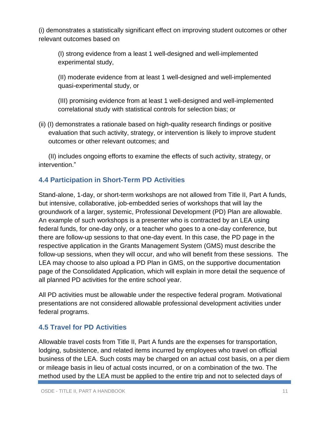(i) demonstrates a statistically significant effect on improving student outcomes or other relevant outcomes based on

(I) strong evidence from a least 1 well-designed and well-implemented experimental study,

(II) moderate evidence from at least 1 well-designed and well-implemented quasi-experimental study, or

(III) promising evidence from at least 1 well-designed and well-implemented correlational study with statistical controls for selection bias; or

(ii) (I) demonstrates a rationale based on high-quality research findings or positive evaluation that such activity, strategy, or intervention is likely to improve student outcomes or other relevant outcomes; and

(II) includes ongoing efforts to examine the effects of such activity, strategy, or intervention."

#### **4.4 Participation in Short-Term PD Activities**

Stand-alone, 1-day, or short-term workshops are not allowed from Title II, Part A funds, but intensive, collaborative, job-embedded series of workshops that will lay the groundwork of a larger, systemic, Professional Development (PD) Plan are allowable. An example of such workshops is a presenter who is contracted by an LEA using federal funds, for one-day only, or a teacher who goes to a one-day conference, but there are follow-up sessions to that one-day event. In this case, the PD page in the respective application in the Grants Management System (GMS) must describe the follow-up sessions, when they will occur, and who will benefit from these sessions. The LEA may choose to also upload a PD Plan in GMS, on the supportive documentation page of the Consolidated Application, which will explain in more detail the sequence of all planned PD activities for the entire school year.

All PD activities must be allowable under the respective federal program. Motivational presentations are not considered allowable professional development activities under federal programs.

#### **4.5 Travel for PD Activities**

Allowable travel costs from Title II, Part A funds are the expenses for transportation, lodging, subsistence, and related items incurred by employees who travel on official business of the LEA. Such costs may be charged on an actual cost basis, on a per diem or mileage basis in lieu of actual costs incurred, or on a combination of the two. The method used by the LEA must be applied to the entire trip and not to selected days of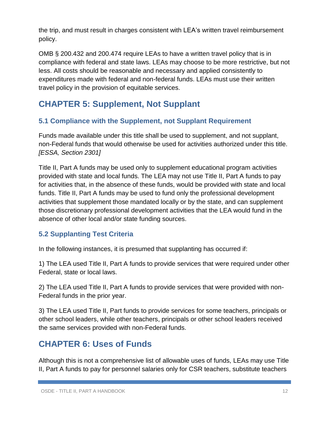the trip, and must result in charges consistent with LEA's written travel reimbursement policy.

OMB § 200.432 and 200.474 require LEAs to have a written travel policy that is in compliance with federal and state laws. LEAs may choose to be more restrictive, but not less. All costs should be reasonable and necessary and applied consistently to expenditures made with federal and non-federal funds. LEAs must use their written travel policy in the provision of equitable services.

# **CHAPTER 5: Supplement, Not Supplant**

#### **5.1 Compliance with the Supplement, not Supplant Requirement**

Funds made available under this title shall be used to supplement, and not supplant, non-Federal funds that would otherwise be used for activities authorized under this title. *[ESSA, Section 2301]*

Title II, Part A funds may be used only to supplement educational program activities provided with state and local funds. The LEA may not use Title II, Part A funds to pay for activities that, in the absence of these funds, would be provided with state and local funds. Title II, Part A funds may be used to fund only the professional development activities that supplement those mandated locally or by the state, and can supplement those discretionary professional development activities that the LEA would fund in the absence of other local and/or state funding sources.

#### **5.2 Supplanting Test Criteria**

In the following instances, it is presumed that supplanting has occurred if:

1) The LEA used Title II, Part A funds to provide services that were required under other Federal, state or local laws.

2) The LEA used Title II, Part A funds to provide services that were provided with non-Federal funds in the prior year.

3) The LEA used Title II, Part funds to provide services for some teachers, principals or other school leaders, while other teachers, principals or other school leaders received the same services provided with non-Federal funds.

# **CHAPTER 6: Uses of Funds**

Although this is not a comprehensive list of allowable uses of funds, LEAs may use Title II, Part A funds to pay for personnel salaries only for CSR teachers, substitute teachers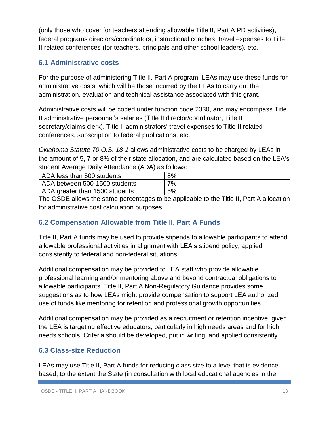(only those who cover for teachers attending allowable Title II, Part A PD activities), federal programs directors/coordinators, instructional coaches, travel expenses to Title II related conferences (for teachers, principals and other school leaders), etc.

#### **6.1 Administrative costs**

For the purpose of administering Title II, Part A program, LEAs may use these funds for administrative costs, which will be those incurred by the LEAs to carry out the administration, evaluation and technical assistance associated with this grant.

Administrative costs will be coded under function code 2330, and may encompass Title II administrative personnel's salaries (Title II director/coordinator, Title II secretary/claims clerk), Title II administrators' travel expenses to Title II related conferences, subscription to federal publications, etc.

*Oklahoma Statute 70 O.S. 18-1* allows administrative costs to be charged by LEAs in the amount of 5, 7 or 8% of their state allocation, and are calculated based on the LEA's student Average Daily Attendance (ADA) as follows:

| ADA less than 500 students     | 8% |
|--------------------------------|----|
| ADA between 500-1500 students  | 7% |
| ADA greater than 1500 students | 5% |

The OSDE allows the same percentages to be applicable to the Title II, Part A allocation for administrative cost calculation purposes.

#### **6.2 Compensation Allowable from Title II, Part A Funds**

Title II, Part A funds may be used to provide stipends to allowable participants to attend allowable professional activities in alignment with LEA's stipend policy, applied consistently to federal and non-federal situations.

Additional compensation may be provided to LEA staff who provide allowable professional learning and/or mentoring above and beyond contractual obligations to allowable participants. Title II, Part A Non-Regulatory Guidance provides some suggestions as to how LEAs might provide compensation to support LEA authorized use of funds like mentoring for retention and professional growth opportunities.

Additional compensation may be provided as a recruitment or retention incentive, given the LEA is targeting effective educators, particularly in high needs areas and for high needs schools. Criteria should be developed, put in writing, and applied consistently.

#### **6.3 Class-size Reduction**

LEAs may use Title II, Part A funds for reducing class size to a level that is evidencebased, to the extent the State (in consultation with local educational agencies in the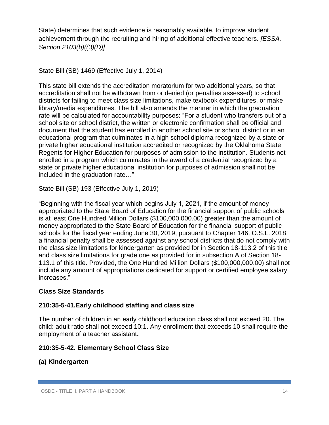State) determines that such evidence is reasonably available, to improve student achievement through the recruiting and hiring of additional effective teachers. *[ESSA, Section 2103(b)((3)(D)]*

```
State Bill (SB) 1469 (Effective July 1, 2014)
```
This state bill extends the accreditation moratorium for two additional years, so that accreditation shall not be withdrawn from or denied (or penalties assessed) to school districts for failing to meet class size limitations, make textbook expenditures, or make library/media expenditures. The bill also amends the manner in which the graduation rate will be calculated for accountability purposes: "For a student who transfers out of a school site or school district, the written or electronic confirmation shall be official and document that the student has enrolled in another school site or school district or in an educational program that culminates in a high school diploma recognized by a state or private higher educational institution accredited or recognized by the Oklahoma State Regents for Higher Education for purposes of admission to the institution. Students not enrolled in a program which culminates in the award of a credential recognized by a state or private higher educational institution for purposes of admission shall not be included in the graduation rate…"

State Bill (SB) 193 (Effective July 1, 2019)

"Beginning with the fiscal year which begins July 1, 2021, if the amount of money appropriated to the State Board of Education for the financial support of public schools is at least One Hundred Million Dollars (\$100,000,000.00) greater than the amount of money appropriated to the State Board of Education for the financial support of public schools for the fiscal year ending June 30, 2019, pursuant to Chapter 146, O.S.L. 2018, a financial penalty shall be assessed against any school districts that do not comply with the class size limitations for kindergarten as provided for in Section 18-113.2 of this title and class size limitations for grade one as provided for in subsection A of Section 18- 113.1 of this title. Provided, the One Hundred Million Dollars (\$100,000,000.00) shall not include any amount of appropriations dedicated for support or certified employee salary increases."

#### **Class Size Standards**

#### **210:35-5-41.Early childhood staffing and class size**

The number of children in an early childhood education class shall not exceed 20. The child: adult ratio shall not exceed 10:1. Any enrollment that exceeds 10 shall require the employment of a teacher assistant**.**

#### **210:35-5-42. Elementary School Class Size**

#### **(a) Kindergarten**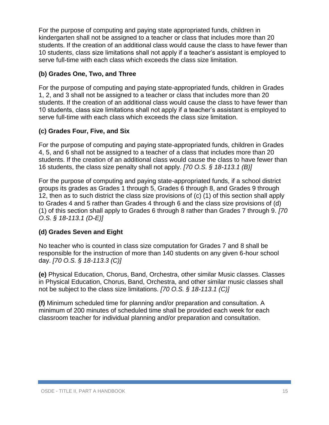For the purpose of computing and paying state appropriated funds, children in kindergarten shall not be assigned to a teacher or class that includes more than 20 students. If the creation of an additional class would cause the class to have fewer than 10 students, class size limitations shall not apply if a teacher's assistant is employed to serve full-time with each class which exceeds the class size limitation.

#### **(b) Grades One, Two, and Three**

For the purpose of computing and paying state-appropriated funds, children in Grades 1, 2, and 3 shall not be assigned to a teacher or class that includes more than 20 students. If the creation of an additional class would cause the class to have fewer than 10 students, class size limitations shall not apply if a teacher's assistant is employed to serve full-time with each class which exceeds the class size limitation.

#### **(c) Grades Four, Five, and Six**

For the purpose of computing and paying state-appropriated funds, children in Grades 4, 5, and 6 shall not be assigned to a teacher of a class that includes more than 20 students. If the creation of an additional class would cause the class to have fewer than 16 students, the class size penalty shall not apply. *[70 O.S. § 18-113.1 (B)]*

For the purpose of computing and paying state-appropriated funds, if a school district groups its grades as Grades 1 through 5, Grades 6 through 8, and Grades 9 through 12, then as to such district the class size provisions of (c) (1) of this section shall apply to Grades 4 and 5 rather than Grades 4 through 6 and the class size provisions of (d) (1) of this section shall apply to Grades 6 through 8 rather than Grades 7 through 9. *[70 O.S. § 18-113.1 (D-E)]*

#### **(d) Grades Seven and Eight**

No teacher who is counted in class size computation for Grades 7 and 8 shall be responsible for the instruction of more than 140 students on any given 6-hour school day. *[70 O.S. § 18-113.3 (C)]* 

**(e)** Physical Education, Chorus, Band, Orchestra, other similar Music classes. Classes in Physical Education, Chorus, Band, Orchestra, and other similar music classes shall not be subject to the class size limitations. *[70 O.S. § 18-113.1 (C)]*

**(f)** Minimum scheduled time for planning and/or preparation and consultation. A minimum of 200 minutes of scheduled time shall be provided each week for each classroom teacher for individual planning and/or preparation and consultation.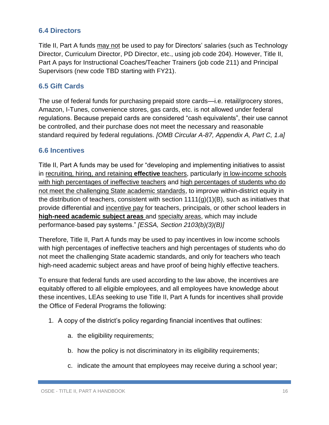#### **6.4 Directors**

Title II, Part A funds may not be used to pay for Directors' salaries (such as Technology Director, Curriculum Director, PD Director, etc., using job code 204). However, Title II, Part A pays for Instructional Coaches/Teacher Trainers (job code 211) and Principal Supervisors (new code TBD starting with FY21).

#### **6.5 Gift Cards**

The use of federal funds for purchasing prepaid store cards—i.e. retail/grocery stores, Amazon, I-Tunes, convenience stores, gas cards, etc. is not allowed under federal regulations. Because prepaid cards are considered "cash equivalents", their use cannot be controlled, and their purchase does not meet the necessary and reasonable standard required by federal regulations. *[OMB Circular A-87, Appendix A, Part C, 1.a]*

#### **6.6 Incentives**

Title II, Part A funds may be used for "developing and implementing initiatives to assist in recruiting, hiring, and retaining **effective** teachers, particularly in low-income schools with high percentages of ineffective teachers and high percentages of students who do not meet the challenging State academic standards, to improve within-district equity in the distribution of teachers, consistent with section  $1111(g)(1)(B)$ , such as initiatives that provide differential and incentive pay for teachers, principals, or other school leaders in **high-need academic subject areas** and specialty areas, which may include performance-based pay systems." *[ESSA, Section 2103(b)(3)(B)]*

Therefore, Title II, Part A funds may be used to pay incentives in low income schools with high percentages of ineffective teachers and high percentages of students who do not meet the challenging State academic standards, and only for teachers who teach high-need academic subject areas and have proof of being highly effective teachers.

To ensure that federal funds are used according to the law above, the incentives are equitably offered to all eligible employees, and all employees have knowledge about these incentives, LEAs seeking to use Title II, Part A funds for incentives shall provide the Office of Federal Programs the following:

- 1. A copy of the district's policy regarding financial incentives that outlines:
	- a. the eligibility requirements;
	- b. how the policy is not discriminatory in its eligibility requirements;
	- c. indicate the amount that employees may receive during a school year;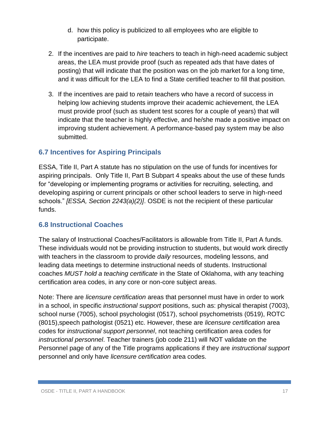- d. how this policy is publicized to all employees who are eligible to participate.
- 2. If the incentives are paid to *hire* teachers to teach in high-need academic subject areas, the LEA must provide proof (such as repeated ads that have dates of posting) that will indicate that the position was on the job market for a long time, and it was difficult for the LEA to find a State certified teacher to fill that position.
- 3. If the incentives are paid to *retain* teachers who have a record of success in helping low achieving students improve their academic achievement, the LEA must provide proof (such as student test scores for a couple of years) that will indicate that the teacher is highly effective, and he/she made a positive impact on improving student achievement. A performance-based pay system may be also submitted.

#### **6.7 Incentives for Aspiring Principals**

ESSA, Title II, Part A statute has no stipulation on the use of funds for incentives for aspiring principals. Only Title II, Part B Subpart 4 speaks about the use of these funds for "developing or implementing programs or activities for recruiting, selecting, and developing aspiring or current principals or other school leaders to serve in high-need schools." *[ESSA, Section 2243(a)(2)]*. OSDE is not the recipient of these particular funds.

#### **6.8 Instructional Coaches**

The salary of Instructional Coaches/Facilitators is allowable from Title II, Part A funds. These individuals would not be providing instruction to students, but would work directly with teachers in the classroom to provide *daily* resources, modeling lessons, and leading data meetings to determine instructional needs of students. Instructional coaches *MUST hold a teaching certificate* in the State of Oklahoma, with any teaching certification area codes, in any core or non-core subject areas.

Note: There are *licensure certification* areas that personnel must have in order to work in a school, in specific *instructional support* positions, such as: physical therapist (7003), school nurse (7005), school psychologist (0517), school psychometrists (0519), ROTC (8015),speech pathologist (0521) etc. However, these are *licensure certification* area codes for *instructional support personnel*, not teaching certification area codes for *instructional personnel*. Teacher trainers (job code 211) will NOT validate on the Personnel page of any of the Title programs applications if they are *instructional support* personnel and only have *licensure certification* area codes.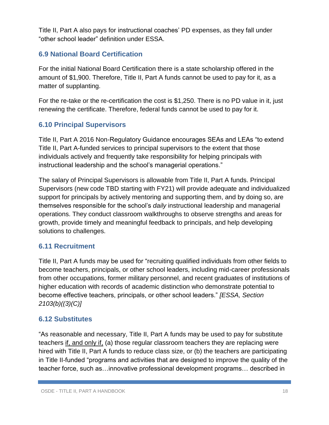Title II, Part A also pays for instructional coaches' PD expenses, as they fall under "other school leader" definition under ESSA.

#### **6.9 National Board Certification**

For the initial National Board Certification there is a state scholarship offered in the amount of \$1,900. Therefore, Title II, Part A funds cannot be used to pay for it, as a matter of supplanting.

For the re-take or the re-certification the cost is \$1,250. There is no PD value in it, just renewing the certificate. Therefore, federal funds cannot be used to pay for it.

#### **6.10 Principal Supervisors**

Title II, Part A 2016 Non-Regulatory Guidance encourages SEAs and LEAs "to extend Title II, Part A-funded services to principal supervisors to the extent that those individuals actively and frequently take responsibility for helping principals with instructional leadership and the school's managerial operations."

The salary of Principal Supervisors is allowable from Title II, Part A funds. Principal Supervisors (new code TBD starting with FY21) will provide adequate and individualized support for principals by actively mentoring and supporting them, and by doing so, are themselves responsible for the school's *daily* instructional leadership and managerial operations. They conduct classroom walkthroughs to observe strengths and areas for growth, provide timely and meaningful feedback to principals, and help developing solutions to challenges.

#### **6.11 Recruitment**

Title II, Part A funds may be used for "recruiting qualified individuals from other fields to become teachers, principals, or other school leaders, including mid-career professionals from other occupations, former military personnel, and recent graduates of institutions of higher education with records of academic distinction who demonstrate potential to become effective teachers, principals, or other school leaders." *[ESSA, Section 2103(b)((3)(C)]*

#### **6.12 Substitutes**

"As reasonable and necessary, Title II, Part A funds may be used to pay for substitute teachers if, and only if, (a) those regular classroom teachers they are replacing were hired with Title II, Part A funds to reduce class size, or (b) the teachers are participating in Title II-funded "programs and activities that are designed to improve the quality of the teacher force, such as…innovative professional development programs… described in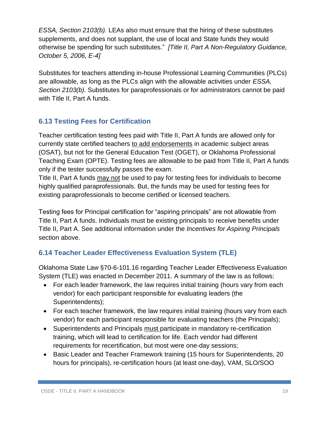*ESSA, Section 2103(b).* LEAs also must ensure that the hiring of these substitutes supplements, and does not supplant, the use of local and State funds they would otherwise be spending for such substitutes." *[Title II, Part A Non-Regulatory Guidance, October 5, 2006, E-4]*

Substitutes for teachers attending in-house Professional Learning Communities (PLCs) are allowable, as long as the PLCs align with the allowable activities under *ESSA, Section 2103(b).* Substitutes for paraprofessionals or for administrators cannot be paid with Title II, Part A funds.

#### **6.13 Testing Fees for Certification**

Teacher certification testing fees paid with Title II, Part A funds are allowed only for currently state certified teachers to add endorsements in academic subject areas (OSAT), but not for the General Education Test (OGET), or Oklahoma Professional Teaching Exam (OPTE). Testing fees are allowable to be paid from Title II, Part A funds only if the tester successfully passes the exam.

Title II, Part A funds may not be used to pay for testing fees for individuals to become highly qualified paraprofessionals. But, the funds may be used for testing fees for existing paraprofessionals to become certified or licensed teachers.

Testing fees for Principal certification for "aspiring principals" are not allowable from Title II, Part A funds. Individuals must be existing principals to receive benefits under Title II, Part A. See additional information under the *Incentives for Aspiring Principals* section above.

#### **6.14 Teacher Leader Effectiveness Evaluation System (TLE)**

Oklahoma State Law §70-6-101.16 regarding Teacher Leader Effectiveness Evaluation System (TLE) was enacted in December 2011. A summary of the law is as follows:

- For each leader framework, the law requires initial training (hours vary from each vendor) for each participant responsible for evaluating leaders (the Superintendents);
- For each teacher framework, the law requires initial training (hours vary from each vendor) for each participant responsible for evaluating teachers (the Principals);
- Superintendents and Principals must participate in mandatory re-certification training, which will lead to certification for life. Each vendor had different requirements for recertification, but most were one-day sessions;
- Basic Leader and Teacher Framework training (15 hours for Superintendents, 20 hours for principals), re-certification hours (at least one-day), VAM, SLO/SOO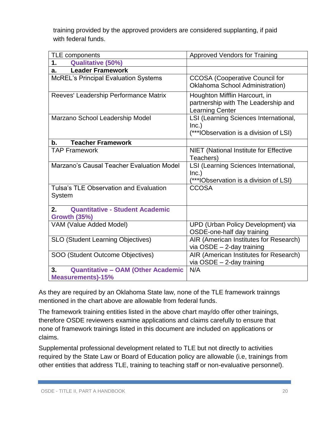training provided by the approved providers are considered supplanting, if paid with federal funds.

| TLE components                                                              | <b>Approved Vendors for Training</b>                                                           |
|-----------------------------------------------------------------------------|------------------------------------------------------------------------------------------------|
| <b>Qualitative (50%)</b><br>1.                                              |                                                                                                |
| <b>Leader Framework</b><br>a.                                               |                                                                                                |
| <b>McREL's Principal Evaluation Systems</b>                                 | <b>CCOSA</b> (Cooperative Council for<br>Oklahoma School Administration)                       |
| Reeves' Leadership Performance Matrix                                       | Houghton Mifflin Harcourt, in<br>partnership with The Leadership and<br><b>Learning Center</b> |
| Marzano School Leadership Model                                             | LSI (Learning Sciences International,<br>Inc.)<br>(***IObservation is a division of LSI)       |
| <b>Teacher Framework</b><br>$\mathbf b$ .                                   |                                                                                                |
| <b>TAP Framework</b>                                                        | NIET (National Institute for Effective<br>Teachers)                                            |
| Marzano's Causal Teacher Evaluation Model                                   | LSI (Learning Sciences International,<br>Inc.)<br>(***IObservation is a division of LSI)       |
| <b>Tulsa's TLE Observation and Evaluation</b><br>System                     | <b>CCOSA</b>                                                                                   |
| <b>Quantitative - Student Academic</b><br>2.<br><b>Growth (35%)</b>         |                                                                                                |
| VAM (Value Added Model)                                                     | UPD (Urban Policy Development) via<br>OSDE-one-half day training                               |
| <b>SLO (Student Learning Objectives)</b>                                    | AIR (American Institutes for Research)<br>via $OSDE - 2$ -day training                         |
| SOO (Student Outcome Objectives)                                            | AIR (American Institutes for Research)<br>via $OSDE - 2$ -day training                         |
| <b>Quantitative - OAM (Other Academic</b><br>3.<br><b>Measurements)-15%</b> | N/A                                                                                            |

As they are required by an Oklahoma State law, none of the TLE framework trainngs mentioned in the chart above are allowable from federal funds.

The framework training entities listed in the above chart may/do offer other trainings, therefore OSDE reviewers examine applications and claims carefully to ensure that none of framework trainings listed in this document are included on applications or claims.

Supplemental professional development related to TLE but not directly to activities required by the State Law or Board of Education policy are allowable (i.e, trainings from other entities that address TLE, training to teaching staff or non-evaluative personnel).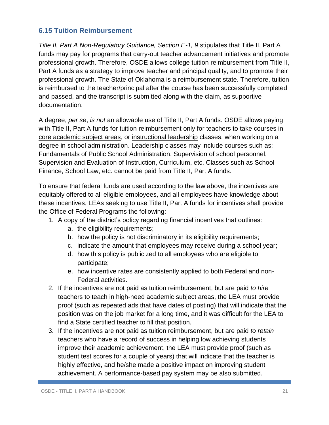#### **6.15 Tuition Reimbursement**

Title II, Part A Non-Regulatory Guidance, Section E-1, 9 stipulates that Title II, Part A funds may pay for programs that carry-out teacher advancement initiatives and promote professional growth. Therefore, OSDE allows college tuition reimbursement from Title II, Part A funds as a strategy to improve teacher and principal quality, and to promote their professional growth. The State of Oklahoma is a reimbursement state. Therefore, tuition is reimbursed to the teacher/principal after the course has been successfully completed and passed, and the transcript is submitted along with the claim, as supportive documentation.

A degree, *per se*, *is not* an allowable use of Title II, Part A funds. OSDE allows paying with Title II, Part A funds for tuition reimbursement only for teachers to take courses in core academic subject areas, or instructional leadership classes, when working on a degree in school administration. Leadership classes may include courses such as: Fundamentals of Public School Administration, Supervision of school personnel, Supervision and Evaluation of Instruction, Curriculum, etc. Classes such as School Finance, School Law, etc. cannot be paid from Title II, Part A funds.

To ensure that federal funds are used according to the law above, the incentives are equitably offered to all eligible employees, and all employees have knowledge about these incentives, LEAs seeking to use Title II, Part A funds for incentives shall provide the Office of Federal Programs the following:

- 1. A copy of the district's policy regarding financial incentives that outlines:
	- a. the eligibility requirements;
	- b. how the policy is not discriminatory in its eligibility requirements;
	- c. indicate the amount that employees may receive during a school year;
	- d. how this policy is publicized to all employees who are eligible to participate;
	- e. how incentive rates are consistently applied to both Federal and non-Federal activities.
- 2. If the incentives are not paid as tuition reimbursement, but are paid *to hire* teachers to teach in high-need academic subject areas, the LEA must provide proof (such as repeated ads that have dates of posting) that will indicate that the position was on the job market for a long time, and it was difficult for the LEA to find a State certified teacher to fill that position.
- 3. If the incentives are not paid as tuition reimbursement, but are paid *to retain* teachers who have a record of success in helping low achieving students improve their academic achievement, the LEA must provide proof (such as student test scores for a couple of years) that will indicate that the teacher is highly effective, and he/she made a positive impact on improving student achievement. A performance-based pay system may be also submitted.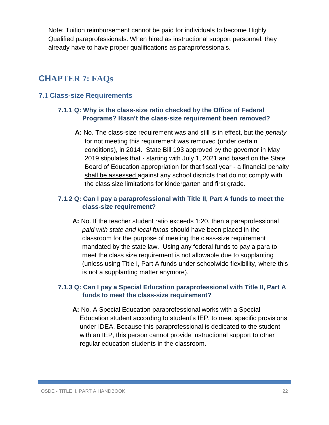Note: Tuition reimbursement cannot be paid for individuals to become Highly Qualified paraprofessionals. When hired as instructional support personnel, they already have to have proper qualifications as paraprofessionals.

#### **CHAPTER 7: FAQs**

#### **7.1 Class-size Requirements**

#### **7.1.1 Q: Why is the class-size ratio checked by the Office of Federal Programs? Hasn't the class-size requirement been removed?**

**A:** No. The class-size requirement was and still is in effect, but the *penalty* for not meeting this requirement was removed (under certain conditions), in 2014. State Bill 193 approved by the governor in May 2019 stipulates that - starting with July 1, 2021 and based on the State Board of Education appropriation for that fiscal year - a financial penalty shall be assessed against any school districts that do not comply with the class size limitations for kindergarten and first grade.

#### **7.1.2 Q: Can I pay a paraprofessional with Title II, Part A funds to meet the class-size requirement?**

**A:** No. If the teacher student ratio exceeds 1:20, then a paraprofessional *paid with state and local funds* should have been placed in the classroom for the purpose of meeting the class-size requirement mandated by the state law. Using any federal funds to pay a para to meet the class size requirement is not allowable due to supplanting (unless using Title I, Part A funds under schoolwide flexibility, where this is not a supplanting matter anymore).

#### **7.1.3 Q: Can I pay a Special Education paraprofessional with Title II, Part A funds to meet the class-size requirement?**

**A:** No. A Special Education paraprofessional works with a Special Education student according to student's IEP, to meet specific provisions under IDEA. Because this paraprofessional is dedicated to the student with an IEP, this person cannot provide instructional support to other regular education students in the classroom.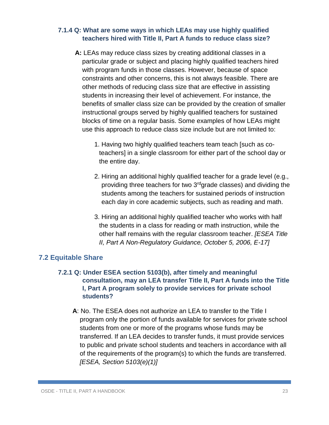#### **7.1.4 Q: What are some ways in which LEAs may use highly qualified teachers hired with Title II, Part A funds to reduce class size?**

- **A:** LEAs may reduce class sizes by creating additional classes in a particular grade or subject and placing highly qualified teachers hired with program funds in those classes. However, because of space constraints and other concerns, this is not always feasible. There are other methods of reducing class size that are effective in assisting students in increasing their level of achievement. For instance, the benefits of smaller class size can be provided by the creation of smaller instructional groups served by highly qualified teachers for sustained blocks of time on a regular basis. Some examples of how LEAs might use this approach to reduce class size include but are not limited to:
	- 1. Having two highly qualified teachers team teach [such as coteachers] in a single classroom for either part of the school day or the entire day.
	- 2. Hiring an additional highly qualified teacher for a grade level (e.g., providing three teachers for two 3<sup>rd</sup>grade classes) and dividing the students among the teachers for sustained periods of instruction each day in core academic subjects, such as reading and math.
	- 3. Hiring an additional highly qualified teacher who works with half the students in a class for reading or math instruction, while the other half remains with the regular classroom teacher. *[ESEA Title II, Part A Non-Regulatory Guidance, October 5, 2006, E-17]*

#### **7.2 Equitable Share**

#### **7.2.1 Q: Under ESEA section 5103(b), after timely and meaningful consultation, may an LEA transfer Title II, Part A funds into the Title I, Part A program solely to provide services for private school students?**

**A**: No. The ESEA does not authorize an LEA to transfer to the Title I program only the portion of funds available for services for private school students from one or more of the programs whose funds may be transferred. If an LEA decides to transfer funds, it must provide services to public and private school students and teachers in accordance with all of the requirements of the program(s) to which the funds are transferred. *[ESEA, Section 5103(e)(1)]*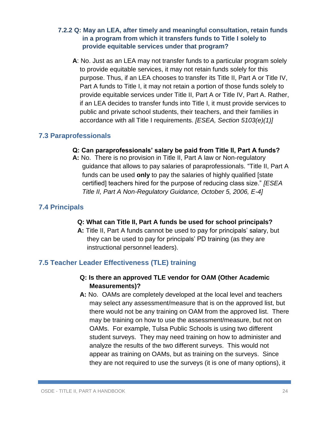#### **7.2.2 Q: May an LEA, after timely and meaningful consultation, retain funds in a program from which it transfers funds to Title I solely to provide equitable services under that program?**

**A**: No. Just as an LEA may not transfer funds to a particular program solely to provide equitable services, it may not retain funds solely for this purpose. Thus, if an LEA chooses to transfer its Title II, Part A or Title IV, Part A funds to Title I, it may not retain a portion of those funds solely to provide equitable services under Title II, Part A or Title IV, Part A. Rather, if an LEA decides to transfer funds into Title I, it must provide services to public and private school students, their teachers, and their families in accordance with all Title I requirements. *[ESEA, Section 5103(e)(1)]*

#### **7.3 Paraprofessionals**

#### **Q: Can paraprofessionals' salary be paid from Title II, Part A funds?**

**A:** No. There is no provision in Title II, Part A law or Non-regulatory guidance that allows to pay salaries of paraprofessionals. "Title II, Part A funds can be used **only** to pay the salaries of highly qualified [state certified] teachers hired for the purpose of reducing class size." *[ESEA Title II, Part A Non-Regulatory Guidance, October 5, 2006, E-4]*

#### **7.4 Principals**

#### **Q: What can Title II, Part A funds be used for school principals?**

**A:** Title II, Part A funds cannot be used to pay for principals' salary, but they can be used to pay for principals' PD training (as they are instructional personnel leaders).

#### **7.5 Teacher Leader Effectiveness (TLE) training**

#### **Q: Is there an approved TLE vendor for OAM (Other Academic Measurements)?**

**A:** No. OAMs are completely developed at the local level and teachers may select any assessment/measure that is on the approved list, but there would not be any training on OAM from the approved list. There may be training on how to use the assessment/measure, but not on OAMs. For example, Tulsa Public Schools is using two different student surveys. They may need training on how to administer and analyze the results of the two different surveys. This would not appear as training on OAMs, but as training on the surveys. Since they are not required to use the surveys (it is one of many options), it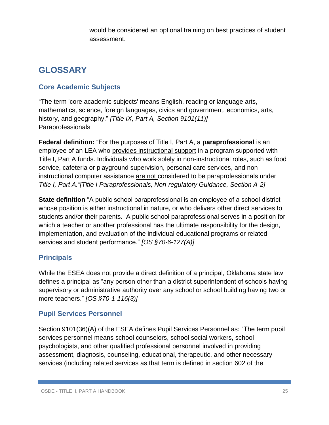would be considered an optional training on best practices of student assessment.

# **GLOSSARY**

#### **Core Academic Subjects**

"The term 'core academic subjects' means English, reading or language arts, mathematics, science, foreign languages, civics and government, economics, arts, history, and geography." *[Title IX, Part A, Section 9101(11)]* Paraprofessionals

**Federal definition***:* "For the purposes of Title I, Part A, a **paraprofessional** is an employee of an LEA who provides instructional support in a program supported with Title I, Part A funds. Individuals who work solely in non-instructional roles, such as food service, cafeteria or playground supervision, personal care services, and noninstructional computer assistance are not considered to be paraprofessionals under *Title I, Part A."[Title I Paraprofessionals, Non-regulatory Guidance, Section A-2]*

**State definition** "A public school paraprofessional is an employee of a school district whose position is either instructional in nature, or who delivers other direct services to students and/or their parents. A public school paraprofessional serves in a position for which a teacher or another professional has the ultimate responsibility for the design, implementation, and evaluation of the individual educational programs or related services and student performance." *[OS §70-6-127(A)]*

#### **Principals**

While the ESEA does not provide a direct definition of a principal, Oklahoma state law defines a principal as "any person other than a district superintendent of schools having supervisory or administrative authority over any school or school building having two or more teachers." *[OS §70-1-116(3)]*

#### **Pupil Services Personnel**

Section 9101(36)(A) of the ESEA defines Pupil Services Personnel as: "The term pupil services personnel means school counselors, school social workers, school psychologists, and other qualified professional personnel involved in providing assessment, diagnosis, counseling, educational, therapeutic, and other necessary services (including related services as that term is defined in section 602 of the